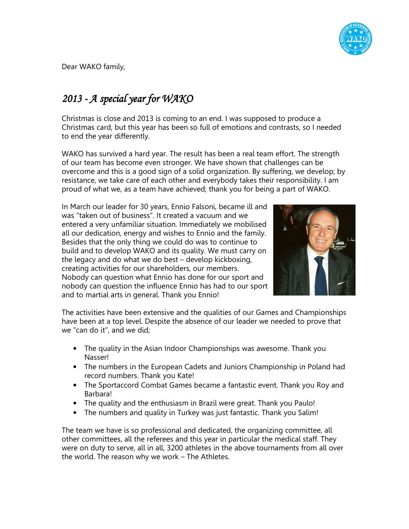

Dear WAKO family,

## $2013$  -  $A$  special year for WAKO

Christmas is close and 2013 is coming to an end. I was supposed to produce a Christmas card, but this year has been so full of emotions and contrasts, so I needed to end the year differently.

WAKO has survived a hard year. The result has been a real team effort. The strength of our team has become even stronger. We have shown that challenges can be overcome and this is a good sign of a solid organization. By suffering, we develop; by resistance, we take care of each other and everybody takes their responsibility. I am proud of what we, as a team have achieved; thank you for being a part of WAKO.

In March our leader for 30 years, Ennio Falsoni, became ill and was "taken out of business". It created a vacuum and we entered a very unfamiliar situation. Immediately we mobilised all our dedication, energy and wishes to Ennio and the family. Besides that the only thing we could do was to continue to build and to develop WAKO and its quality. We must carry on the legacy and do what we do best – develop kickboxing, creating activities for our shareholders, our members. Nobody can question what Ennio has done for our sport and nobody can question the influence Ennio has had to our sport and to martial arts in general. Thank you Ennio!



The activities have been extensive and the qualities of our Games and Championships have been at a top level. Despite the absence of our leader we needed to prove that we "can do it", and we did;

- The quality in the Asian Indoor Championships was awesome. Thank you Nasser!
- The numbers in the European Cadets and Juniors Championship in Poland had record numbers. Thank you Kate!
- The Sportaccord Combat Games became a fantastic event. Thank you Roy and **Barbaral**
- The quality and the enthusiasm in Brazil were great. Thank you Paulo!
- The numbers and quality in Turkey was just fantastic. Thank you Salim!

The team we have is so professional and dedicated, the organizing committee, all other committees, all the referees and this year in particular the medical staff. They were on duty to serve, all in all, 3200 athletes in the above tournaments from all over the world. The reason why we work – The Athletes.